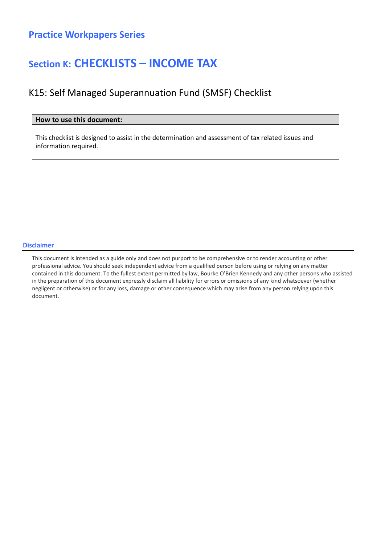### Section K: CHECKLISTS – INCOME TAX

### K15: Self Managed Superannuation Fund (SMSF) Checklist

#### How to use this document:

This checklist is designed to assist in the determination and assessment of tax related issues and information required.

#### Disclaimer

This document is intended as a guide only and does not purport to be comprehensive or to render accounting or other professional advice. You should seek independent advice from a qualified person before using or relying on any matter contained in this document. To the fullest extent permitted by law, Bourke O'Brien Kennedy and any other persons who assisted in the preparation of this document expressly disclaim all liability for errors or omissions of any kind whatsoever (whether negligent or otherwise) or for any loss, damage or other consequence which may arise from any person relying upon this document.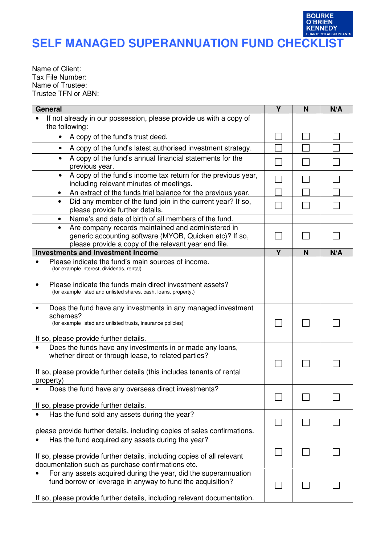### **CONTRANTS**<br>**KENNEDY**<br>CHARTERED ACCOUNTANTS **SELF MANAGED SUPERANNUATION FUND CHECKLIST**

**BOURKE O'BRIEN** 

Name of Client: Tax File Number: Name of Trustee: Trustee TFN or ABN:

| <b>General</b>                                                                                                                                                                     | Y | N            | N/A |
|------------------------------------------------------------------------------------------------------------------------------------------------------------------------------------|---|--------------|-----|
| If not already in our possession, please provide us with a copy of<br>the following:                                                                                               |   |              |     |
| A copy of the fund's trust deed.<br>$\bullet$                                                                                                                                      |   |              |     |
| A copy of the fund's latest authorised investment strategy.<br>$\bullet$                                                                                                           |   |              |     |
| A copy of the fund's annual financial statements for the<br>$\bullet$<br>previous year.                                                                                            |   |              |     |
| A copy of the fund's income tax return for the previous year,<br>$\bullet$<br>including relevant minutes of meetings.                                                              |   |              |     |
| An extract of the funds trial balance for the previous year.<br>$\bullet$                                                                                                          |   |              |     |
| Did any member of the fund join in the current year? If so,<br>$\bullet$<br>please provide further details.                                                                        |   |              |     |
| Name's and date of birth of all members of the fund.<br>$\bullet$                                                                                                                  |   |              |     |
| Are company records maintained and administered in<br>$\bullet$<br>generic accounting software (MYOB, Quicken etc)? If so,<br>please provide a copy of the relevant year end file. |   | $\sim$       |     |
| <b>Investments and Investment Income</b>                                                                                                                                           | Y | N            | N/A |
| Please indicate the fund's main sources of income.<br>(for example interest, dividends, rental)                                                                                    |   |              |     |
| Please indicate the funds main direct investment assets?<br>(for example listed and unlisted shares, cash, loans, property,)                                                       |   |              |     |
| Does the fund have any investments in any managed investment<br>schemes?<br>(for example listed and unlisted trusts, insurance policies)<br>If so, please provide further details. |   |              |     |
| Does the funds have any investments in or made any loans,<br>whether direct or through lease, to related parties?                                                                  |   |              |     |
| If so, please provide further details (this includes tenants of rental<br>property)                                                                                                |   |              |     |
| Does the fund have any overseas direct investments?                                                                                                                                |   |              |     |
| If so, please provide further details.<br>Has the fund sold any assets during the year?                                                                                            |   |              |     |
| please provide further details, including copies of sales confirmations.                                                                                                           |   |              |     |
| Has the fund acquired any assets during the year?                                                                                                                                  |   |              |     |
| If so, please provide further details, including copies of all relevant<br>documentation such as purchase confirmations etc.                                                       |   |              |     |
| For any assets acquired during the year, did the superannuation<br>fund borrow or leverage in anyway to fund the acquisition?                                                      |   | $\mathsf{L}$ |     |
| If so, please provide further details, including relevant documentation.                                                                                                           |   |              |     |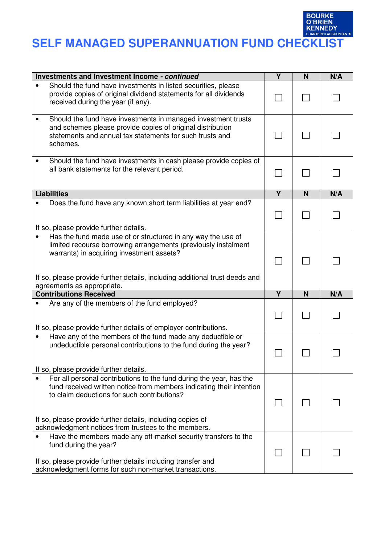

# BOURKE<br>
SELF MANAGED SUPERANNUATION FUND CHECKLIST

| Investments and Investment Income - continued                                                                                                                                                                                                              | $\overline{\mathsf{Y}}$ | N | N/A |
|------------------------------------------------------------------------------------------------------------------------------------------------------------------------------------------------------------------------------------------------------------|-------------------------|---|-----|
| Should the fund have investments in listed securities, please<br>provide copies of original dividend statements for all dividends<br>received during the year (if any).                                                                                    |                         |   |     |
| Should the fund have investments in managed investment trusts<br>and schemes please provide copies of original distribution<br>statements and annual tax statements for such trusts and<br>schemes.                                                        |                         |   |     |
| Should the fund have investments in cash please provide copies of<br>all bank statements for the relevant period.                                                                                                                                          |                         |   |     |
| <b>Liabilities</b>                                                                                                                                                                                                                                         | Y                       | N | N/A |
| Does the fund have any known short term liabilities at year end?<br>If so, please provide further details.                                                                                                                                                 |                         |   |     |
| Has the fund made use of or structured in any way the use of<br>limited recourse borrowing arrangements (previously instalment<br>warrants) in acquiring investment assets?<br>If so, please provide further details, including additional trust deeds and |                         |   |     |
| agreements as appropriate.                                                                                                                                                                                                                                 |                         |   |     |
| <b>Contributions Received</b>                                                                                                                                                                                                                              | $\overline{\mathsf{Y}}$ | N | N/A |
| Are any of the members of the fund employed?<br>If so, please provide further details of employer contributions.                                                                                                                                           |                         |   |     |
| Have any of the members of the fund made any deductible or<br>undeductible personal contributions to the fund during the year?<br>If so, please provide further details.                                                                                   |                         |   |     |
| For all personal contributions to the fund during the year, has the                                                                                                                                                                                        |                         |   |     |
| fund received written notice from members indicating their intention<br>to claim deductions for such contributions?<br>If so, please provide further details, including copies of<br>acknowledgment notices from trustees to the members.                  |                         |   |     |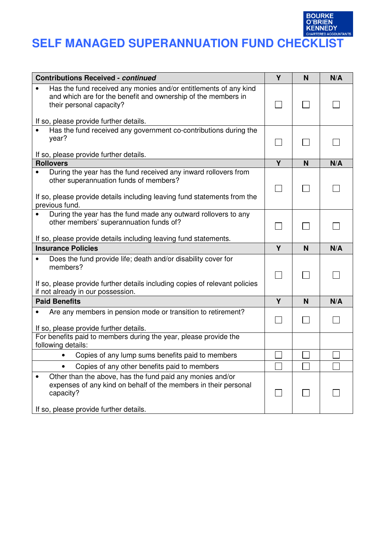# BOURKE<br>
SELF MANAGED SUPERANNUATION FUND CHECKLIST

| <b>Contributions Received - continued</b>                                                                                                                                                        | Y | N | N/A |
|--------------------------------------------------------------------------------------------------------------------------------------------------------------------------------------------------|---|---|-----|
| Has the fund received any monies and/or entitlements of any kind<br>and which are for the benefit and ownership of the members in<br>their personal capacity?                                    |   |   |     |
| If so, please provide further details.                                                                                                                                                           |   |   |     |
| Has the fund received any government co-contributions during the<br>year?                                                                                                                        |   |   |     |
| If so, please provide further details.                                                                                                                                                           |   |   |     |
| <b>Rollovers</b>                                                                                                                                                                                 | Y | N | N/A |
| During the year has the fund received any inward rollovers from<br>other superannuation funds of members?<br>If so, please provide details including leaving fund statements from the            |   |   |     |
| previous fund.                                                                                                                                                                                   |   |   |     |
| During the year has the fund made any outward rollovers to any                                                                                                                                   |   |   |     |
| other members' superannuation funds of?                                                                                                                                                          |   |   |     |
| If so, please provide details including leaving fund statements.                                                                                                                                 |   |   |     |
| <b>Insurance Policies</b>                                                                                                                                                                        | Y | N | N/A |
|                                                                                                                                                                                                  |   |   |     |
| Does the fund provide life; death and/or disability cover for<br>members?                                                                                                                        |   |   |     |
| If so, please provide further details including copies of relevant policies<br>if not already in our possession.                                                                                 |   |   |     |
| <b>Paid Benefits</b>                                                                                                                                                                             | Y | N | N/A |
| Are any members in pension mode or transition to retirement?                                                                                                                                     |   |   |     |
| If so, please provide further details.                                                                                                                                                           |   |   |     |
| For benefits paid to members during the year, please provide the<br>following details:                                                                                                           |   |   |     |
| Copies of any lump sums benefits paid to members                                                                                                                                                 |   |   |     |
| Copies of any other benefits paid to members                                                                                                                                                     |   |   |     |
| Other than the above, has the fund paid any monies and/or<br>$\bullet$<br>expenses of any kind on behalf of the members in their personal<br>capacity?<br>If so, please provide further details. |   |   |     |